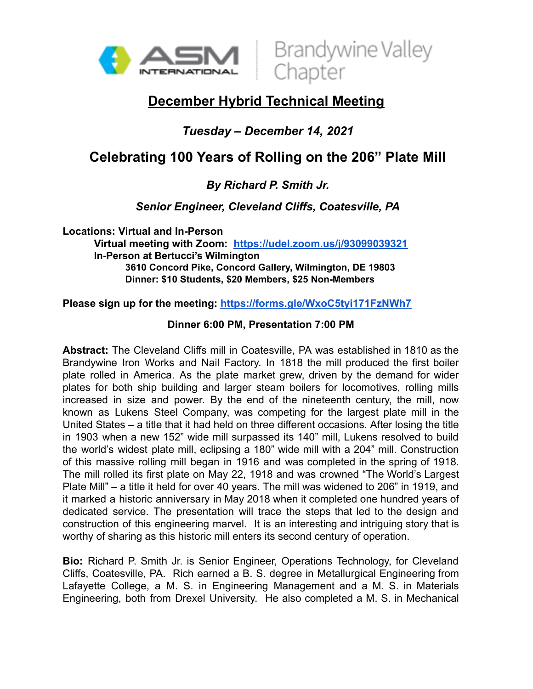



## **December Hybrid Technical Meeting**

### *Tuesday – December 14, 2021*

# **Celebrating 100 Years of Rolling on the 206" Plate Mill**

#### *By Richard P. Smith Jr.*

*Senior Engineer, Cleveland Cliffs, Coatesville, PA*

**Locations: Virtual and In-Person Virtual meeting with Zoom: <https://udel.zoom.us/j/93099039321> In-Person at Bertucci's Wilmington 3610 Concord Pike, Concord Gallery, Wilmington, DE 19803 Dinner: \$10 Students, \$20 Members, \$25 Non-Members**

**Please sign up for the meeting: <https://forms.gle/WxoC5tyi171FzNWh7>**

#### **Dinner 6:00 PM, Presentation 7:00 PM**

**Abstract:** The Cleveland Cliffs mill in Coatesville, PA was established in 1810 as the Brandywine Iron Works and Nail Factory. In 1818 the mill produced the first boiler plate rolled in America. As the plate market grew, driven by the demand for wider plates for both ship building and larger steam boilers for locomotives, rolling mills increased in size and power. By the end of the nineteenth century, the mill, now known as Lukens Steel Company, was competing for the largest plate mill in the United States – a title that it had held on three different occasions. After losing the title in 1903 when a new 152" wide mill surpassed its 140" mill, Lukens resolved to build the world's widest plate mill, eclipsing a 180" wide mill with a 204" mill. Construction of this massive rolling mill began in 1916 and was completed in the spring of 1918. The mill rolled its first plate on May 22, 1918 and was crowned "The World's Largest Plate Mill" – a title it held for over 40 years. The mill was widened to 206" in 1919, and it marked a historic anniversary in May 2018 when it completed one hundred years of dedicated service. The presentation will trace the steps that led to the design and construction of this engineering marvel. It is an interesting and intriguing story that is worthy of sharing as this historic mill enters its second century of operation.

**Bio:** Richard P. Smith Jr. is Senior Engineer, Operations Technology, for Cleveland Cliffs, Coatesville, PA. Rich earned a B. S. degree in Metallurgical Engineering from Lafayette College, a M. S. in Engineering Management and a M. S. in Materials Engineering, both from Drexel University. He also completed a M. S. in Mechanical